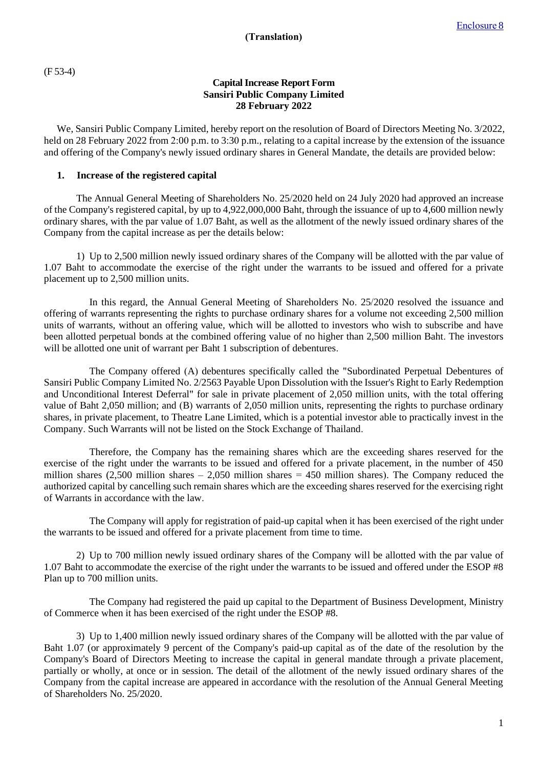(F 53-4)

## **Capital Increase Report Form Sansiri Public Company Limited 28 February 2022**

We, Sansiri Public Company Limited, hereby report on the resolution of Board of Directors Meeting No. 3/2022, held on 28 February 2022 from 2:00 p.m. to 3:30 p.m., relating to a capital increase by the extension of the issuance and offering of the Company's newly issued ordinary shares in General Mandate, the details are provided below:

## **1. Increase of the registered capital**

The Annual General Meeting of Shareholders No. 25/2020 held on 24 July 2020 had approved an increase of the Company's registered capital, by up to 4,922,000,000 Baht, through the issuance of up to 4,600 million newly ordinary shares, with the par value of 1.07 Baht, as well as the allotment of the newly issued ordinary shares of the Company from the capital increase as per the details below:

1) Up to 2,500 million newly issued ordinary shares of the Company will be allotted with the par value of 1.07 Baht to accommodate the exercise of the right under the warrants to be issued and offered for a private placement up to 2,500 million units.

In this regard, the Annual General Meeting of Shareholders No. 25/2020 resolved the issuance and offering of warrants representing the rights to purchase ordinary shares for a volume not exceeding 2,500 million units of warrants, without an offering value, which will be allotted to investors who wish to subscribe and have been allotted perpetual bonds at the combined offering value of no higher than 2,500 million Baht. The investors will be allotted one unit of warrant per Baht 1 subscription of debentures.

The Company offered (A) debentures specifically called the "Subordinated Perpetual Debentures of Sansiri Public Company Limited No. 2/2563 Payable Upon Dissolution with the Issuer's Right to Early Redemption and Unconditional Interest Deferral" for sale in private placement of 2,050 million units, with the total offering value of Baht 2,050 million; and (B) warrants of 2,050 million units, representing the rights to purchase ordinary shares, in private placement, to Theatre Lane Limited, which is a potential investor able to practically invest in the Company. Such Warrants will not be listed on the Stock Exchange of Thailand.

Therefore, the Company has the remaining shares which are the exceeding shares reserved for the exercise of the right under the warrants to be issued and offered for a private placement, in the number of 450 million shares  $(2,500$  million shares – 2,050 million shares = 450 million shares). The Company reduced the authorized capital by cancelling such remain shares which are the exceeding shares reserved for the exercising right of Warrants in accordance with the law.

The Company will apply for registration of paid-up capital when it has been exercised of the right under the warrants to be issued and offered for a private placement from time to time.

2) Up to 700 million newly issued ordinary shares of the Company will be allotted with the par value of 1.07 Baht to accommodate the exercise of the right under the warrants to be issued and offered under the ESOP #8 Plan up to 700 million units.

The Company had registered the paid up capital to the Department of Business Development, Ministry of Commerce when it has been exercised of the right under the ESOP #8.

3) Up to 1,400 million newly issued ordinary shares of the Company will be allotted with the par value of Baht 1.07 (or approximately 9 percent of the Company's paid-up capital as of the date of the resolution by the Company's Board of Directors Meeting to increase the capital in general mandate through a private placement, partially or wholly, at once or in session. The detail of the allotment of the newly issued ordinary shares of the Company from the capital increase are appeared in accordance with the resolution of the Annual General Meeting of Shareholders No. 25/2020.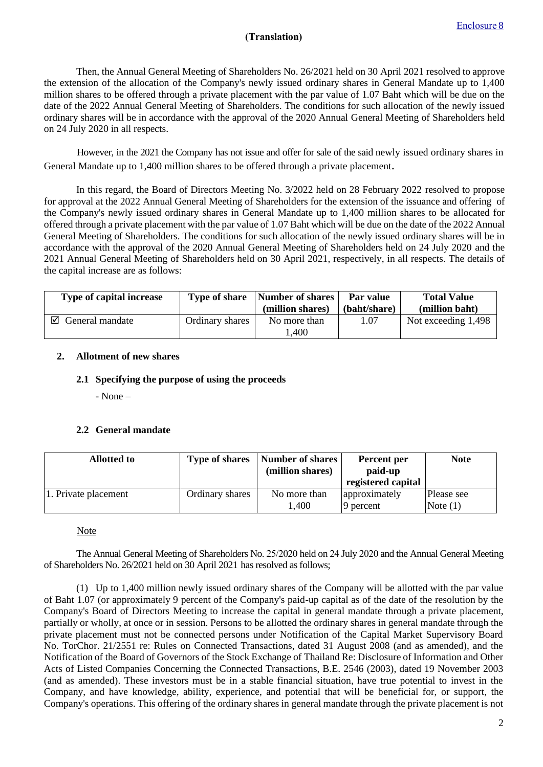## **(Translation)**

Then, the Annual General Meeting of Shareholders No. 26/2021 held on 30 April 2021 resolved to approve the extension of the allocation of the Company's newly issued ordinary shares in General Mandate up to 1,400 million shares to be offered through a private placement with the par value of 1.07 Baht which will be due on the date of the 2022 Annual General Meeting of Shareholders. The conditions for such allocation of the newly issued ordinary shares will be in accordance with the approval of the 2020 Annual General Meeting of Shareholders held on 24 July 2020 in all respects.

However, in the 2021 the Company has not issue and offer for sale of the said newly issued ordinary shares in General Mandate up to 1,400 million shares to be offered through a private placement.

In this regard, the Board of Directors Meeting No. 3/2022 held on 28 February 2022 resolved to propose for approval at the 2022 Annual General Meeting of Shareholders for the extension of the issuance and offering of the Company's newly issued ordinary shares in General Mandate up to 1,400 million shares to be allocated for offered through a private placement with the par value of 1.07 Baht which will be due on the date of the 2022 Annual General Meeting of Shareholders. The conditions for such allocation of the newly issued ordinary shares will be in accordance with the approval of the 2020 Annual General Meeting of Shareholders held on 24 July 2020 and the 2021 Annual General Meeting of Shareholders held on 30 April 2021, respectively, in all respects. The details of the capital increase are as follows:

| Type of capital increase | <b>Type of share</b> | Number of shares<br>(million shares) | Par value<br>(baht/share) | <b>Total Value</b><br>(million baht) |
|--------------------------|----------------------|--------------------------------------|---------------------------|--------------------------------------|
| ☑<br>General mandate     | Ordinary shares      | No more than<br>.400                 | 1.07                      | Not exceeding 1,498                  |

## **2. Allotment of new shares**

### **2.1 Specifying the purpose of using the proceeds**

- None –

## **2.2 General mandate**

| <b>Allotted to</b>   | <b>Type of shares</b> | Number of shares<br>(million shares) | Percent per<br>paid-up     | <b>Note</b>              |
|----------------------|-----------------------|--------------------------------------|----------------------------|--------------------------|
|                      |                       |                                      | registered capital         |                          |
| 1. Private placement | Ordinary shares       | No more than<br>.,400                | approximately<br>9 percent | Please see<br>Note $(1)$ |

#### **Note**

The Annual General Meeting of Shareholders No. 25/2020 held on 24 July 2020 and the Annual General Meeting of Shareholders No. 26/2021 held on 30 April 2021 has resolved as follows;

(1) Up to 1,400 million newly issued ordinary shares of the Company will be allotted with the par value of Baht 1.07 (or approximately 9 percent of the Company's paid-up capital as of the date of the resolution by the Company's Board of Directors Meeting to increase the capital in general mandate through a private placement, partially or wholly, at once or in session. Persons to be allotted the ordinary shares in general mandate through the private placement must not be connected persons under Notification of the Capital Market Supervisory Board No. TorChor. 21/2551 re: Rules on Connected Transactions, dated 31 August 2008 (and as amended), and the Notification of the Board of Governors of the Stock Exchange of Thailand Re: Disclosure of Information and Other Acts of Listed Companies Concerning the Connected Transactions, B.E. 2546 (2003), dated 19 November 2003 (and as amended). These investors must be in a stable financial situation, have true potential to invest in the Company, and have knowledge, ability, experience, and potential that will be beneficial for, or support, the Company's operations. This offering of the ordinary shares in general mandate through the private placement is not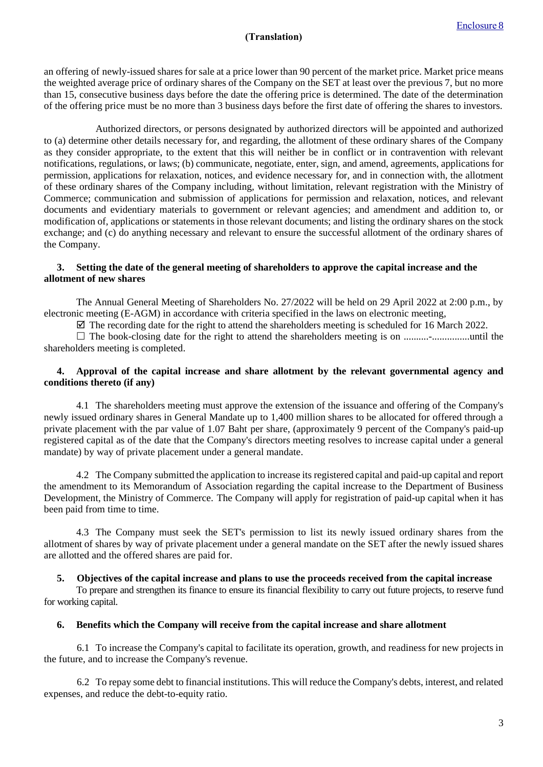# **(Translation)**

an offering of newly-issued shares for sale at a price lower than 90 percent of the market price. Market price means the weighted average price of ordinary shares of the Company on the SET at least over the previous 7, but no more than 15, consecutive business days before the date the offering price is determined. The date of the determination of the offering price must be no more than 3 business days before the first date of offering the shares to investors.

Authorized directors, or persons designated by authorized directors will be appointed and authorized to (a) determine other details necessary for, and regarding, the allotment of these ordinary shares of the Company as they consider appropriate, to the extent that this will neither be in conflict or in contravention with relevant notifications, regulations, or laws; (b) communicate, negotiate, enter, sign, and amend, agreements, applications for permission, applications for relaxation, notices, and evidence necessary for, and in connection with, the allotment of these ordinary shares of the Company including, without limitation, relevant registration with the Ministry of Commerce; communication and submission of applications for permission and relaxation, notices, and relevant documents and evidentiary materials to government or relevant agencies; and amendment and addition to, or modification of, applications or statements in those relevant documents; and listing the ordinary shares on the stock exchange; and (c) do anything necessary and relevant to ensure the successful allotment of the ordinary shares of the Company.

#### **3. Setting the date of the general meeting of shareholders to approve the capital increase and the allotment of new shares**

The Annual General Meeting of Shareholders No. 27/2022 will be held on 29 April 2022 at 2:00 p.m., by electronic meeting (E-AGM) in accordance with criteria specified in the laws on electronic meeting,

 $\boxtimes$  The recording date for the right to attend the shareholders meeting is scheduled for 16 March 2022.

 The book-closing date for the right to attend the shareholders meeting is on ..........-...............until the shareholders meeting is completed.

### **4. Approval of the capital increase and share allotment by the relevant governmental agency and conditions thereto (if any)**

4.1 The shareholders meeting must approve the extension of the issuance and offering of the Company's newly issued ordinary shares in General Mandate up to 1,400 million shares to be allocated for offered through a private placement with the par value of 1.07 Baht per share, (approximately 9 percent of the Company's paid-up registered capital as of the date that the Company's directors meeting resolves to increase capital under a general mandate) by way of private placement under a general mandate.

4.2 The Company submitted the application to increase its registered capital and paid-up capital and report the amendment to its Memorandum of Association regarding the capital increase to the Department of Business Development, the Ministry of Commerce. The Company will apply for registration of paid-up capital when it has been paid from time to time.

4.3 The Company must seek the SET's permission to list its newly issued ordinary shares from the allotment of shares by way of private placement under a general mandate on the SET after the newly issued shares are allotted and the offered shares are paid for.

#### **5. Objectives of the capital increase and plans to use the proceeds received from the capital increase**

To prepare and strengthen its finance to ensure its financial flexibility to carry out future projects, to reserve fund for working capital.

## **6. Benefits which the Company will receive from the capital increase and share allotment**

6.1 To increase the Company's capital to facilitate its operation, growth, and readiness for new projects in the future, and to increase the Company's revenue.

6.2 To repay some debt to financial institutions. This will reduce the Company's debts, interest, and related expenses, and reduce the debt-to-equity ratio.